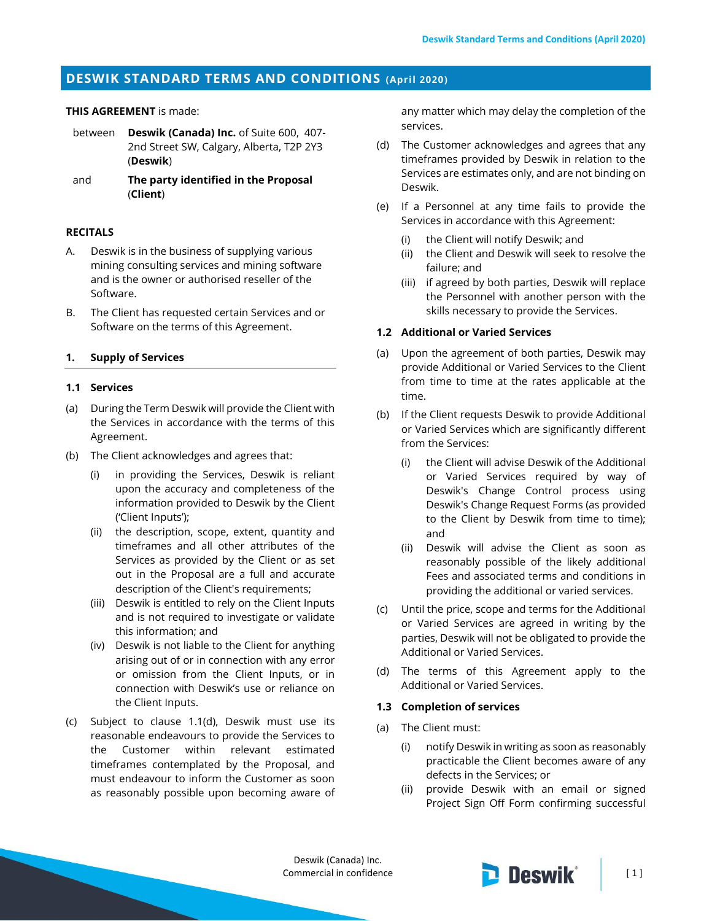# **DESWIK STANDARD TERMS AND CONDITIONS (April 2020)**

### **THIS AGREEMENT** is made:

- between **Deswik (Canada) Inc.** of Suite 600, 407- 2nd Street SW, Calgary, Alberta, T2P 2Y3 (**Deswik**)
- and **The party identified in the Proposal**  (**Client**)

#### **RECITALS**

- A. Deswik is in the business of supplying various mining consulting services and mining software and is the owner or authorised reseller of the Software.
- B. The Client has requested certain Services and or Software on the terms of this Agreement.

### **1. Supply of Services**

#### **1.1 Services**

- (a) During the Term Deswik will provide the Client with the Services in accordance with the terms of this Agreement.
- (b) The Client acknowledges and agrees that:
	- (i) in providing the Services, Deswik is reliant upon the accuracy and completeness of the information provided to Deswik by the Client ('Client Inputs');
	- (ii) the description, scope, extent, quantity and timeframes and all other attributes of the Services as provided by the Client or as set out in the Proposal are a full and accurate description of the Client's requirements;
	- (iii) Deswik is entitled to rely on the Client Inputs and is not required to investigate or validate this information; and
	- (iv) Deswik is not liable to the Client for anything arising out of or in connection with any error or omission from the Client Inputs, or in connection with Deswik's use or reliance on the Client Inputs.
- (c) Subject to clause [1.1\(d\),](#page-0-0) Deswik must use its reasonable endeavours to provide the Services to the Customer within relevant estimated timeframes contemplated by the Proposal, and must endeavour to inform the Customer as soon as reasonably possible upon becoming aware of

any matter which may delay the completion of the services.

- <span id="page-0-0"></span>(d) The Customer acknowledges and agrees that any timeframes provided by Deswik in relation to the Services are estimates only, and are not binding on Deswik.
- (e) If a Personnel at any time fails to provide the Services in accordance with this Agreement:
	- (i) the Client will notify Deswik; and
	- (ii) the Client and Deswik will seek to resolve the failure; and
	- (iii) if agreed by both parties, Deswik will replace the Personnel with another person with the skills necessary to provide the Services.

#### **1.2 Additional or Varied Services**

- (a) Upon the agreement of both parties, Deswik may provide Additional or Varied Services to the Client from time to time at the rates applicable at the time.
- (b) If the Client requests Deswik to provide Additional or Varied Services which are significantly different from the Services:
	- (i) the Client will advise Deswik of the Additional or Varied Services required by way of Deswik's Change Control process using Deswik's Change Request Forms (as provided to the Client by Deswik from time to time); and
	- (ii) Deswik will advise the Client as soon as reasonably possible of the likely additional Fees and associated terms and conditions in providing the additional or varied services.
- (c) Until the price, scope and terms for the Additional or Varied Services are agreed in writing by the parties, Deswik will not be obligated to provide the Additional or Varied Services.
- (d) The terms of this Agreement apply to the Additional or Varied Services.

#### **1.3 Completion of services**

- <span id="page-0-1"></span>(a) The Client must:
	- (i) notify Deswik in writing as soon as reasonably practicable the Client becomes aware of any defects in the Services; or
	- (ii) provide Deswik with an email or signed Project Sign Off Form confirming successful

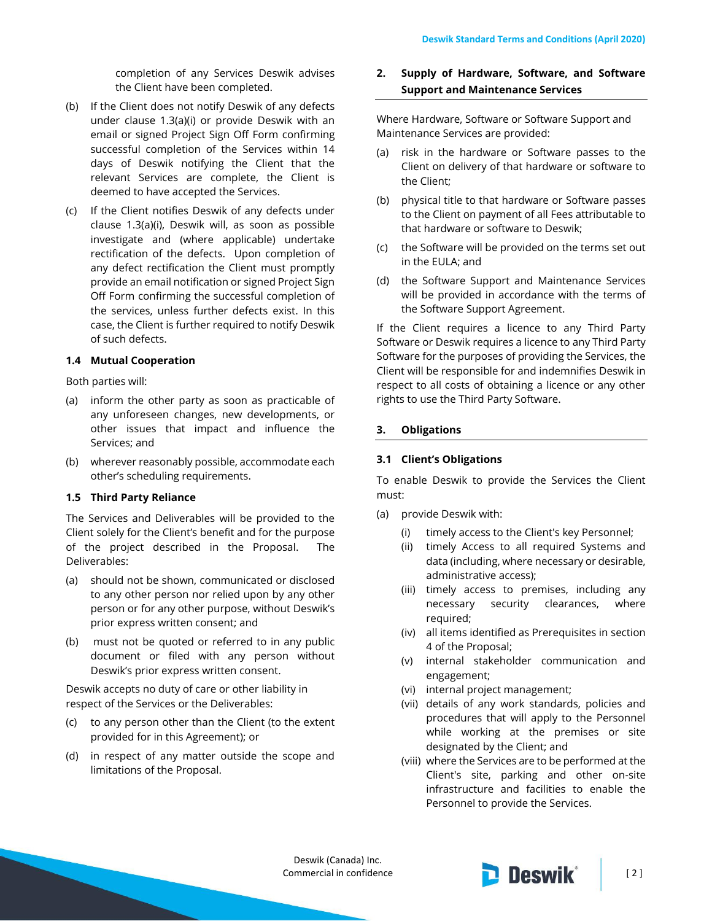completion of any Services Deswik advises the Client have been completed.

- (b) If the Client does not notify Deswik of any defects under clause [1.3\(a\)\(i\)](#page-0-1) or provide Deswik with an email or signed Project Sign Off Form confirming successful completion of the Services within 14 days of Deswik notifying the Client that the relevant Services are complete, the Client is deemed to have accepted the Services.
- (c) If the Client notifies Deswik of any defects under clause [1.3\(a\)\(i\),](#page-0-1) Deswik will, as soon as possible investigate and (where applicable) undertake rectification of the defects. Upon completion of any defect rectification the Client must promptly provide an email notification or signed Project Sign Off Form confirming the successful completion of the services, unless further defects exist. In this case, the Client is further required to notify Deswik of such defects.

# **1.4 Mutual Cooperation**

Both parties will:

- (a) inform the other party as soon as practicable of any unforeseen changes, new developments, or other issues that impact and influence the Services; and
- (b) wherever reasonably possible, accommodate each other's scheduling requirements.

### **1.5 Third Party Reliance**

The Services and Deliverables will be provided to the Client solely for the Client's benefit and for the purpose of the project described in the Proposal. The Deliverables:

- (a) should not be shown, communicated or disclosed to any other person nor relied upon by any other person or for any other purpose, without Deswik's prior express written consent; and
- (b) must not be quoted or referred to in any public document or filed with any person without Deswik's prior express written consent.

Deswik accepts no duty of care or other liability in respect of the Services or the Deliverables:

- (c) to any person other than the Client (to the extent provided for in this Agreement); or
- (d) in respect of any matter outside the scope and limitations of the Proposal.

# **2. Supply of Hardware, Software, and Software Support and Maintenance Services**

Where Hardware, Software or Software Support and Maintenance Services are provided:

- (a) risk in the hardware or Software passes to the Client on delivery of that hardware or software to the Client;
- (b) physical title to that hardware or Software passes to the Client on payment of all Fees attributable to that hardware or software to Deswik;
- (c) the Software will be provided on the terms set out in the EULA; and
- (d) the Software Support and Maintenance Services will be provided in accordance with the terms of the Software Support Agreement.

If the Client requires a licence to any Third Party Software or Deswik requires a licence to any Third Party Software for the purposes of providing the Services, the Client will be responsible for and indemnifies Deswik in respect to all costs of obtaining a licence or any other rights to use the Third Party Software.

#### **3. Obligations**

### <span id="page-1-0"></span>**3.1 Client's Obligations**

To enable Deswik to provide the Services the Client must:

- (a) provide Deswik with:
	- (i) timely access to the Client's key Personnel;
	- (ii) timely Access to all required Systems and data (including, where necessary or desirable, administrative access);
	- (iii) timely access to premises, including any necessary security clearances, where required;
	- (iv) all items identified as Prerequisites in section 4 of the Proposal;
	- (v) internal stakeholder communication and engagement;
	- (vi) internal project management;
	- (vii) details of any work standards, policies and procedures that will apply to the Personnel while working at the premises or site designated by the Client; and
	- (viii) where the Services are to be performed at the Client's site, parking and other on-site infrastructure and facilities to enable the Personnel to provide the Services.

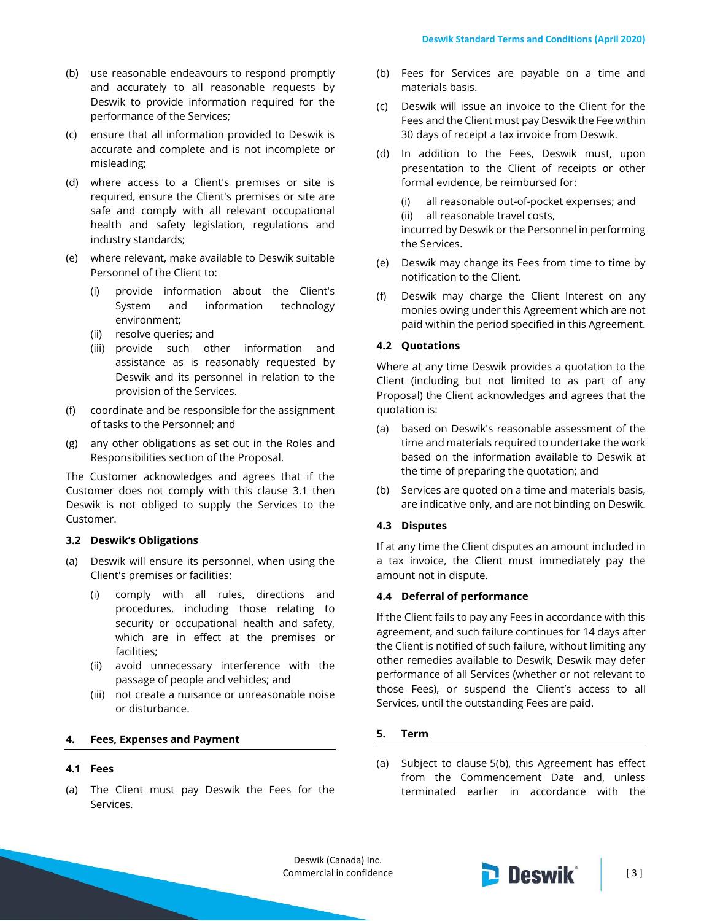- (b) use reasonable endeavours to respond promptly and accurately to all reasonable requests by Deswik to provide information required for the performance of the Services;
- (c) ensure that all information provided to Deswik is accurate and complete and is not incomplete or misleading;
- (d) where access to a Client's premises or site is required, ensure the Client's premises or site are safe and comply with all relevant occupational health and safety legislation, regulations and industry standards;
- (e) where relevant, make available to Deswik suitable Personnel of the Client to:
	- (i) provide information about the Client's System and information technology environment;
	- (ii) resolve queries; and
	- (iii) provide such other information and assistance as is reasonably requested by Deswik and its personnel in relation to the provision of the Services.
- (f) coordinate and be responsible for the assignment of tasks to the Personnel; and
- (g) any other obligations as set out in the Roles and Responsibilities section of the Proposal.

The Customer acknowledges and agrees that if the Customer does not comply with this clause [3.1](#page-1-0) then Deswik is not obliged to supply the Services to the Customer.

#### **3.2 Deswik's Obligations**

- (a) Deswik will ensure its personnel, when using the Client's premises or facilities:
	- (i) comply with all rules, directions and procedures, including those relating to security or occupational health and safety, which are in effect at the premises or facilities;
	- (ii) avoid unnecessary interference with the passage of people and vehicles; and
	- (iii) not create a nuisance or unreasonable noise or disturbance.

#### **4. Fees, Expenses and Payment**

# **4.1 Fees**

(a) The Client must pay Deswik the Fees for the Services.

- (b) Fees for Services are payable on a time and materials basis.
- (c) Deswik will issue an invoice to the Client for the Fees and the Client must pay Deswik the Fee within 30 days of receipt a tax invoice from Deswik.
- (d) In addition to the Fees, Deswik must, upon presentation to the Client of receipts or other formal evidence, be reimbursed for:

(i) all reasonable out-of-pocket expenses; and

(ii) all reasonable travel costs,

incurred by Deswik or the Personnel in performing the Services.

- (e) Deswik may change its Fees from time to time by notification to the Client.
- (f) Deswik may charge the Client Interest on any monies owing under this Agreement which are not paid within the period specified in this Agreement.

### **4.2 Quotations**

Where at any time Deswik provides a quotation to the Client (including but not limited to as part of any Proposal) the Client acknowledges and agrees that the quotation is:

- (a) based on Deswik's reasonable assessment of the time and materials required to undertake the work based on the information available to Deswik at the time of preparing the quotation; and
- (b) Services are quoted on a time and materials basis, are indicative only, and are not binding on Deswik.

# **4.3 Disputes**

If at any time the Client disputes an amount included in a tax invoice, the Client must immediately pay the amount not in dispute.

# **4.4 Deferral of performance**

If the Client fails to pay any Fees in accordance with this agreement, and such failure continues for 14 days after the Client is notified of such failure, without limiting any other remedies available to Deswik, Deswik may defer performance of all Services (whether or not relevant to those Fees), or suspend the Client's access to all Services, until the outstanding Fees are paid.

#### **5. Term**

(a) Subject to clause [5\(b\),](#page-3-0) this Agreement has effect from the Commencement Date and, unless terminated earlier in accordance with the

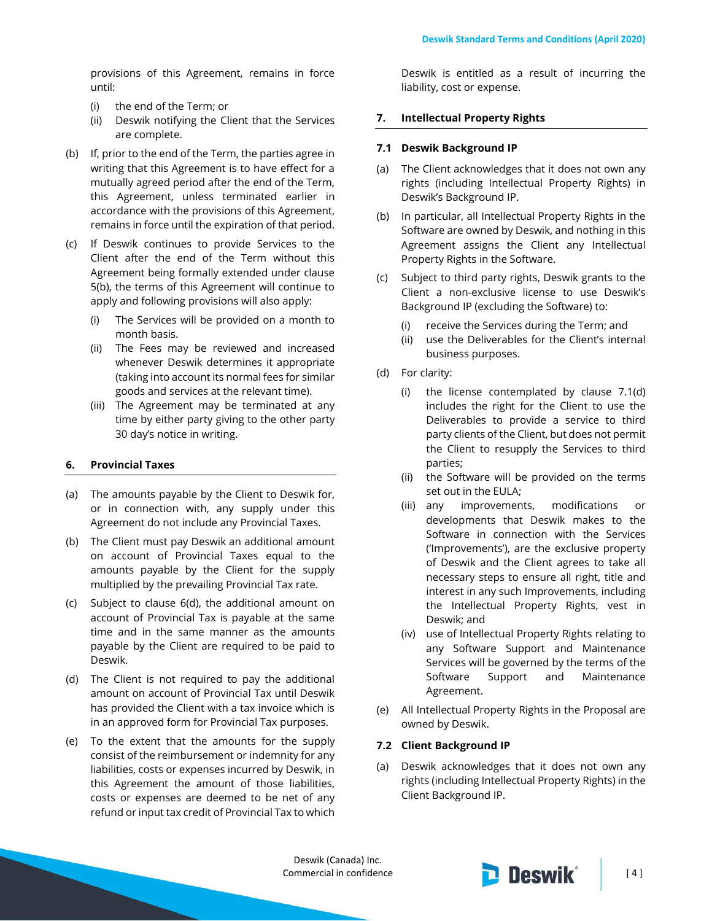provisions of this Agreement, remains in force until:

- (i) the end of the Term; or
- (ii) Deswik notifying the Client that the Services are complete.
- <span id="page-3-0"></span>(b) If, prior to the end of the Term, the parties agree in writing that this Agreement is to have effect for a mutually agreed period after the end of the Term, this Agreement, unless terminated earlier in accordance with the provisions of this Agreement, remains in force until the expiration of that period.
- <span id="page-3-1"></span>(c) If Deswik continues to provide Services to the Client after the end of the Term without this Agreement being formally extended under clause [5\(b\),](#page-3-0) the terms of this Agreement will continue to apply and following provisions will also apply:
	- (i) The Services will be provided on a month to month basis.
	- (ii) The Fees may be reviewed and increased whenever Deswik determines it appropriate (taking into account its normal fees for similar goods and services at the relevant time).
	- (iii) The Agreement may be terminated at any time by either party giving to the other party 30 day's notice in writing.

#### **6. Provincial Taxes**

- (a) The amounts payable by the Client to Deswik for, or in connection with, any supply under this Agreement do not include any Provincial Taxes.
- (b) The Client must pay Deswik an additional amount on account of Provincial Taxes equal to the amounts payable by the Client for the supply multiplied by the prevailing Provincial Tax rate.
- (c) Subject to clause 6(d), the additional amount on account of Provincial Tax is payable at the same time and in the same manner as the amounts payable by the Client are required to be paid to Deswik.
- (d) The Client is not required to pay the additional amount on account of Provincial Tax until Deswik has provided the Client with a tax invoice which is in an approved form for Provincial Tax purposes.
- (e) To the extent that the amounts for the supply consist of the reimbursement or indemnity for any liabilities, costs or expenses incurred by Deswik, in this Agreement the amount of those liabilities, costs or expenses are deemed to be net of any refund or input tax credit of Provincial Tax to which

Deswik is entitled as a result of incurring the liability, cost or expense.

### **7. Intellectual Property Rights**

#### **7.1 Deswik Background IP**

- (a) The Client acknowledges that it does not own any rights (including Intellectual Property Rights) in Deswik's Background IP.
- (b) In particular, all Intellectual Property Rights in the Software are owned by Deswik, and nothing in this Agreement assigns the Client any Intellectual Property Rights in the Software.
- (c) Subject to third party rights, Deswik grants to the Client a non-exclusive license to use Deswik's Background IP (excluding the Software) to:
	- (i) receive the Services during the Term; and
	- (ii) use the Deliverables for the Client's internal business purposes.
- (d) For clarity:
	- (i) the license contemplated by clause 7.1(d) includes the right for the Client to use the Deliverables to provide a service to third party clients of the Client, but does not permit the Client to resupply the Services to third parties;
	- (ii) the Software will be provided on the terms set out in the EULA;
	- (iii) any improvements, modifications or developments that Deswik makes to the Software in connection with the Services ('Improvements'), are the exclusive property of Deswik and the Client agrees to take all necessary steps to ensure all right, title and interest in any such Improvements, including the Intellectual Property Rights, vest in Deswik; and
	- (iv) use of Intellectual Property Rights relating to any Software Support and Maintenance Services will be governed by the terms of the Software Support and Maintenance Agreement.
- (e) All Intellectual Property Rights in the Proposal are owned by Deswik.

# **7.2 Client Background IP**

(a) Deswik acknowledges that it does not own any rights (including Intellectual Property Rights) in the Client Background IP.

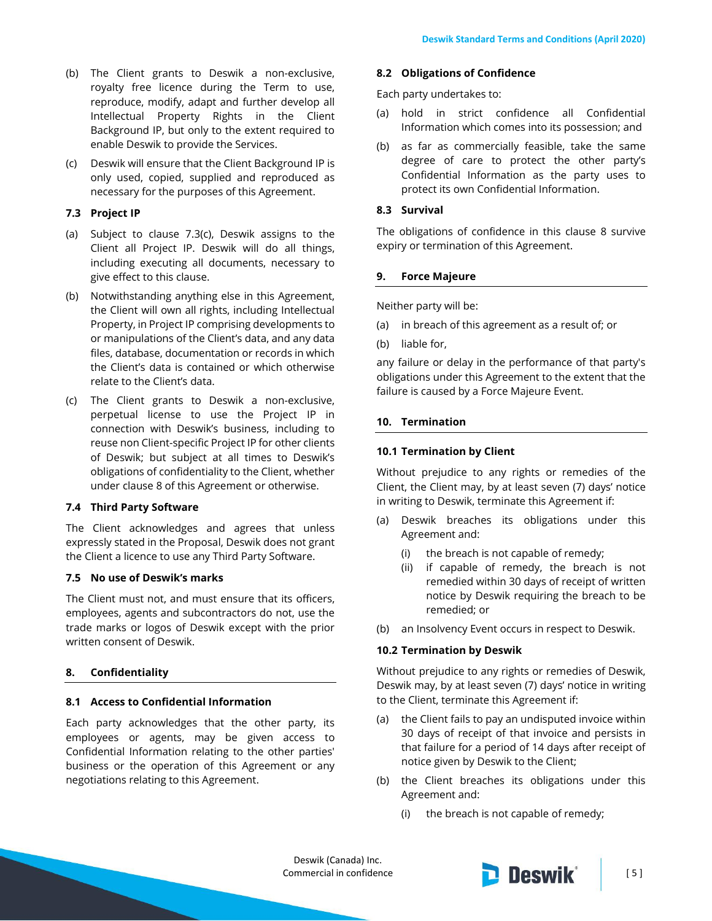- (b) The Client grants to Deswik a non-exclusive, royalty free licence during the Term to use, reproduce, modify, adapt and further develop all Intellectual Property Rights in the Client Background IP, but only to the extent required to enable Deswik to provide the Services.
- (c) Deswik will ensure that the Client Background IP is only used, copied, supplied and reproduced as necessary for the purposes of this Agreement.

# **7.3 Project IP**

- (a) Subject to clause 7.3(c), Deswik assigns to the Client all Project IP. Deswik will do all things, including executing all documents, necessary to give effect to this clause.
- (b) Notwithstanding anything else in this Agreement, the Client will own all rights, including Intellectual Property, in Project IP comprising developments to or manipulations of the Client's data, and any data files, database, documentation or records in which the Client's data is contained or which otherwise relate to the Client's data.
- (c) The Client grants to Deswik a non-exclusive, perpetual license to use the Project IP in connection with Deswik's business, including to reuse non Client-specific Project IP for other clients of Deswik; but subject at all times to Deswik's obligations of confidentiality to the Client, whether under clause 8 of this Agreement or otherwise.

### **7.4 Third Party Software**

The Client acknowledges and agrees that unless expressly stated in the Proposal, Deswik does not grant the Client a licence to use any Third Party Software.

# **7.5 No use of Deswik's marks**

The Client must not, and must ensure that its officers, employees, agents and subcontractors do not, use the trade marks or logos of Deswik except with the prior written consent of Deswik.

# <span id="page-4-0"></span>**8. Confidentiality**

#### **8.1 Access to Confidential Information**

Each party acknowledges that the other party, its employees or agents, may be given access to Confidential Information relating to the other parties' business or the operation of this Agreement or any negotiations relating to this Agreement.

#### **8.2 Obligations of Confidence**

Each party undertakes to:

- (a) hold in strict confidence all Confidential Information which comes into its possession; and
- (b) as far as commercially feasible, take the same degree of care to protect the other party's Confidential Information as the party uses to protect its own Confidential Information.

### **8.3 Survival**

The obligations of confidence in this clause [8](#page-4-0) survive expiry or termination of this Agreement.

### **9. Force Majeure**

Neither party will be:

- (a) in breach of this agreement as a result of; or
- (b) liable for,

any failure or delay in the performance of that party's obligations under this Agreement to the extent that the failure is caused by a Force Majeure Event.

### **10. Termination**

### **10.1 Termination by Client**

Without prejudice to any rights or remedies of the Client, the Client may, by at least seven (7) days' notice in writing to Deswik, terminate this Agreement if:

- (a) Deswik breaches its obligations under this Agreement and:
	- (i) the breach is not capable of remedy;
	- (ii) if capable of remedy, the breach is not remedied within 30 days of receipt of written notice by Deswik requiring the breach to be remedied; or
- (b) an Insolvency Event occurs in respect to Deswik.

#### **10.2 Termination by Deswik**

Without prejudice to any rights or remedies of Deswik, Deswik may, by at least seven (7) days' notice in writing to the Client, terminate this Agreement if:

- (a) the Client fails to pay an undisputed invoice within 30 days of receipt of that invoice and persists in that failure for a period of 14 days after receipt of notice given by Deswik to the Client;
- (b) the Client breaches its obligations under this Agreement and:
	- (i) the breach is not capable of remedy;

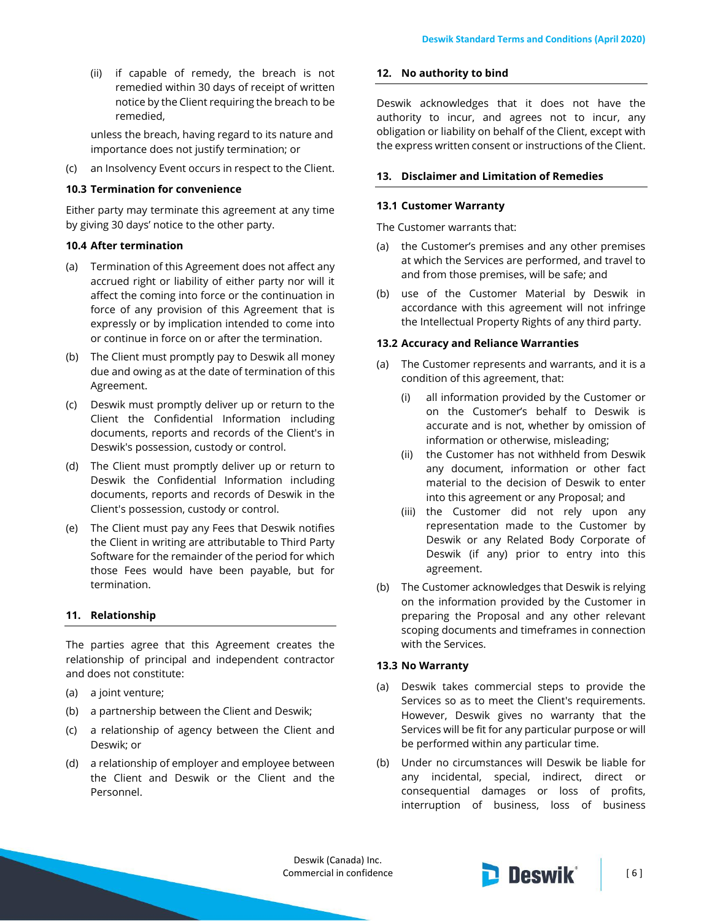(ii) if capable of remedy, the breach is not remedied within 30 days of receipt of written notice by the Client requiring the breach to be remedied,

unless the breach, having regard to its nature and importance does not justify termination; or

(c) an Insolvency Event occurs in respect to the Client.

### **10.3 Termination for convenience**

Either party may terminate this agreement at any time by giving 30 days' notice to the other party.

### **10.4 After termination**

- (a) Termination of this Agreement does not affect any accrued right or liability of either party nor will it affect the coming into force or the continuation in force of any provision of this Agreement that is expressly or by implication intended to come into or continue in force on or after the termination.
- (b) The Client must promptly pay to Deswik all money due and owing as at the date of termination of this Agreement.
- (c) Deswik must promptly deliver up or return to the Client the Confidential Information including documents, reports and records of the Client's in Deswik's possession, custody or control.
- (d) The Client must promptly deliver up or return to Deswik the Confidential Information including documents, reports and records of Deswik in the Client's possession, custody or control.
- (e) The Client must pay any Fees that Deswik notifies the Client in writing are attributable to Third Party Software for the remainder of the period for which those Fees would have been payable, but for termination.

# **11. Relationship**

The parties agree that this Agreement creates the relationship of principal and independent contractor and does not constitute:

- (a) a joint venture;
- (b) a partnership between the Client and Deswik;
- (c) a relationship of agency between the Client and Deswik; or
- (d) a relationship of employer and employee between the Client and Deswik or the Client and the Personnel.

#### **12. No authority to bind**

Deswik acknowledges that it does not have the authority to incur, and agrees not to incur, any obligation or liability on behalf of the Client, except with the express written consent or instructions of the Client.

# **13. Disclaimer and Limitation of Remedies**

### **13.1 Customer Warranty**

The Customer warrants that:

- (a) the Customer's premises and any other premises at which the Services are performed, and travel to and from those premises, will be safe; and
- (b) use of the Customer Material by Deswik in accordance with this agreement will not infringe the Intellectual Property Rights of any third party.

### **13.2 Accuracy and Reliance Warranties**

- (a) The Customer represents and warrants, and it is a condition of this agreement, that:
	- (i) all information provided by the Customer or on the Customer's behalf to Deswik is accurate and is not, whether by omission of information or otherwise, misleading;
	- (ii) the Customer has not withheld from Deswik any document, information or other fact material to the decision of Deswik to enter into this agreement or any Proposal; and
	- (iii) the Customer did not rely upon any representation made to the Customer by Deswik or any Related Body Corporate of Deswik (if any) prior to entry into this agreement.
- (b) The Customer acknowledges that Deswik is relying on the information provided by the Customer in preparing the Proposal and any other relevant scoping documents and timeframes in connection with the Services.

# **13.3 No Warranty**

- (a) Deswik takes commercial steps to provide the Services so as to meet the Client's requirements. However, Deswik gives no warranty that the Services will be fit for any particular purpose or will be performed within any particular time.
- (b) Under no circumstances will Deswik be liable for any incidental, special, indirect, direct or consequential damages or loss of profits, interruption of business, loss of business

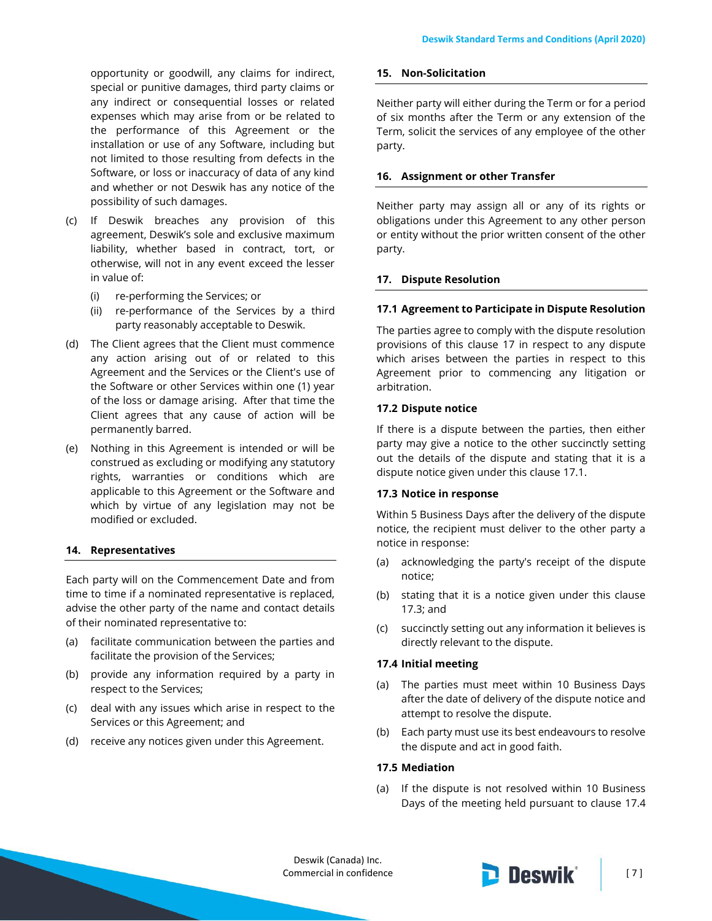opportunity or goodwill, any claims for indirect, special or punitive damages, third party claims or any indirect or consequential losses or related expenses which may arise from or be related to the performance of this Agreement or the installation or use of any Software, including but not limited to those resulting from defects in the Software, or loss or inaccuracy of data of any kind and whether or not Deswik has any notice of the possibility of such damages.

- (c) If Deswik breaches any provision of this agreement, Deswik's sole and exclusive maximum liability, whether based in contract, tort, or otherwise, will not in any event exceed the lesser in value of:
	- (i) re-performing the Services; or
	- (ii) re-performance of the Services by a third party reasonably acceptable to Deswik.
- (d) The Client agrees that the Client must commence any action arising out of or related to this Agreement and the Services or the Client's use of the Software or other Services within one (1) year of the loss or damage arising. After that time the Client agrees that any cause of action will be permanently barred.
- (e) Nothing in this Agreement is intended or will be construed as excluding or modifying any statutory rights, warranties or conditions which are applicable to this Agreement or the Software and which by virtue of any legislation may not be modified or excluded.

# **14. Representatives**

Each party will on the Commencement Date and from time to time if a nominated representative is replaced, advise the other party of the name and contact details of their nominated representative to:

- (a) facilitate communication between the parties and facilitate the provision of the Services;
- (b) provide any information required by a party in respect to the Services;
- (c) deal with any issues which arise in respect to the Services or this Agreement; and
- (d) receive any notices given under this Agreement.

#### **15. Non-Solicitation**

Neither party will either during the Term or for a period of six months after the Term or any extension of the Term, solicit the services of any employee of the other party.

#### **16. Assignment or other Transfer**

Neither party may assign all or any of its rights or obligations under this Agreement to any other person or entity without the prior written consent of the other party.

### <span id="page-6-0"></span>**17. Dispute Resolution**

#### <span id="page-6-1"></span>**17.1 Agreement to Participate in Dispute Resolution**

The parties agree to comply with the dispute resolution provisions of this clause [17](#page-6-0) in respect to any dispute which arises between the parties in respect to this Agreement prior to commencing any litigation or arbitration.

### **17.2 Dispute notice**

If there is a dispute between the parties, then either party may give a notice to the other succinctly setting out the details of the dispute and stating that it is a dispute notice given under this claus[e 17.1.](#page-6-1)

#### <span id="page-6-2"></span>**17.3 Notice in response**

Within 5 Business Days after the delivery of the dispute notice, the recipient must deliver to the other party a notice in response:

- (a) acknowledging the party's receipt of the dispute notice;
- (b) stating that it is a notice given under this clause [17.3;](#page-6-2) and
- (c) succinctly setting out any information it believes is directly relevant to the dispute.

### <span id="page-6-3"></span>**17.4 Initial meeting**

- (a) The parties must meet within 10 Business Days after the date of delivery of the dispute notice and attempt to resolve the dispute.
- (b) Each party must use its best endeavours to resolve the dispute and act in good faith.

# **17.5 Mediation**

(a) If the dispute is not resolved within 10 Business Days of the meeting held pursuant to clause [17.4](#page-6-3)

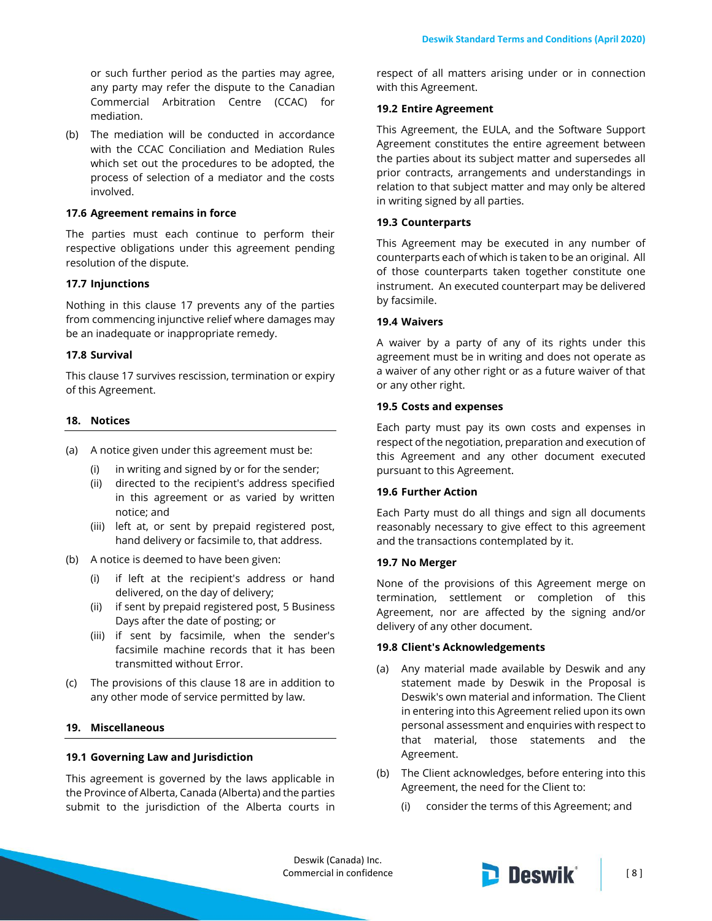or such further period as the parties may agree, any party may refer the dispute to the Canadian Commercial Arbitration Centre (CCAC) for mediation.

(b) The mediation will be conducted in accordance with the CCAC Conciliation and Mediation Rules which set out the procedures to be adopted, the process of selection of a mediator and the costs involved.

### **17.6 Agreement remains in force**

The parties must each continue to perform their respective obligations under this agreement pending resolution of the dispute.

#### **17.7 Injunctions**

Nothing in this clause [17](#page-6-0) prevents any of the parties from commencing injunctive relief where damages may be an inadequate or inappropriate remedy.

#### **17.8 Survival**

This claus[e 17](#page-6-0) survives rescission, termination or expiry of this Agreement.

### <span id="page-7-0"></span>**18. Notices**

- (a) A notice given under this agreement must be:
	- (i) in writing and signed by or for the sender;
	- (ii) directed to the recipient's address specified in this agreement or as varied by written notice; and
	- (iii) left at, or sent by prepaid registered post, hand delivery or facsimile to, that address.
- (b) A notice is deemed to have been given:
	- (i) if left at the recipient's address or hand delivered, on the day of delivery;
	- (ii) if sent by prepaid registered post, 5 Business Days after the date of posting; or
	- (iii) if sent by facsimile, when the sender's facsimile machine records that it has been transmitted without Error.
- (c) The provisions of this clause [18](#page-7-0) are in addition to any other mode of service permitted by law.

# **19. Miscellaneous**

#### **19.1 Governing Law and Jurisdiction**

This agreement is governed by the laws applicable in the Province of Alberta, Canada (Alberta) and the parties submit to the jurisdiction of the Alberta courts in

respect of all matters arising under or in connection with this Agreement.

### **19.2 Entire Agreement**

This Agreement, the EULA, and the Software Support Agreement constitutes the entire agreement between the parties about its subject matter and supersedes all prior contracts, arrangements and understandings in relation to that subject matter and may only be altered in writing signed by all parties.

#### **19.3 Counterparts**

This Agreement may be executed in any number of counterparts each of which is taken to be an original. All of those counterparts taken together constitute one instrument. An executed counterpart may be delivered by facsimile.

#### **19.4 Waivers**

A waiver by a party of any of its rights under this agreement must be in writing and does not operate as a waiver of any other right or as a future waiver of that or any other right.

#### **19.5 Costs and expenses**

Each party must pay its own costs and expenses in respect of the negotiation, preparation and execution of this Agreement and any other document executed pursuant to this Agreement.

#### **19.6 Further Action**

Each Party must do all things and sign all documents reasonably necessary to give effect to this agreement and the transactions contemplated by it.

#### **19.7 No Merger**

None of the provisions of this Agreement merge on termination, settlement or completion of this Agreement, nor are affected by the signing and/or delivery of any other document.

#### **19.8 Client's Acknowledgements**

- (a) Any material made available by Deswik and any statement made by Deswik in the Proposal is Deswik's own material and information. The Client in entering into this Agreement relied upon its own personal assessment and enquiries with respect to that material, those statements and the Agreement.
- (b) The Client acknowledges, before entering into this Agreement, the need for the Client to:
	- (i) consider the terms of this Agreement; and

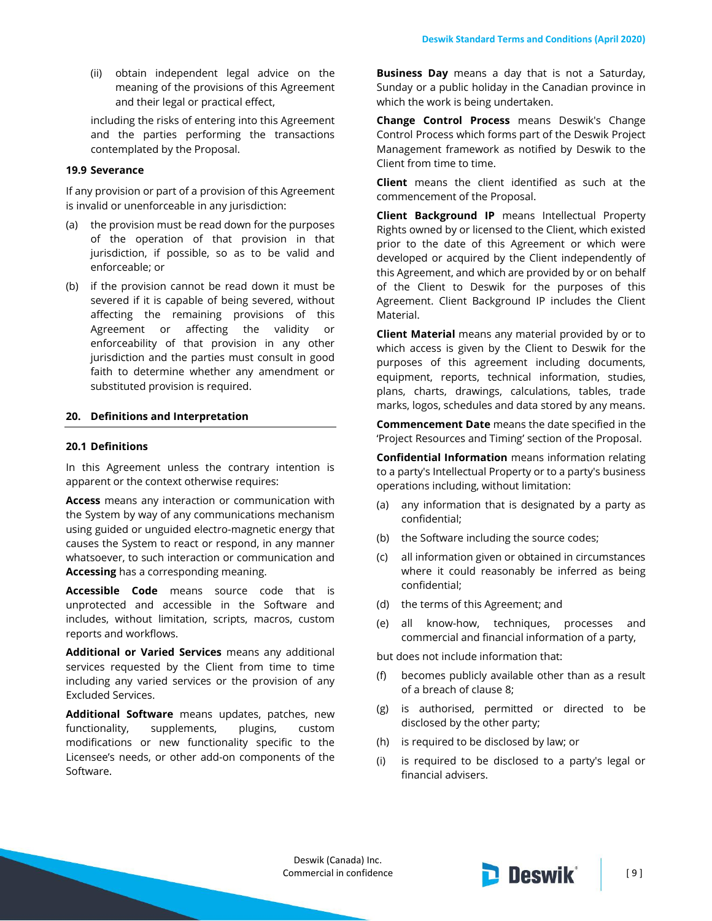(ii) obtain independent legal advice on the meaning of the provisions of this Agreement and their legal or practical effect,

including the risks of entering into this Agreement and the parties performing the transactions contemplated by the Proposal.

#### **19.9 Severance**

If any provision or part of a provision of this Agreement is invalid or unenforceable in any jurisdiction:

- (a) the provision must be read down for the purposes of the operation of that provision in that jurisdiction, if possible, so as to be valid and enforceable; or
- (b) if the provision cannot be read down it must be severed if it is capable of being severed, without affecting the remaining provisions of this Agreement or affecting the validity or enforceability of that provision in any other jurisdiction and the parties must consult in good faith to determine whether any amendment or substituted provision is required.

### **20. Definitions and Interpretation**

#### **20.1 Definitions**

In this Agreement unless the contrary intention is apparent or the context otherwise requires:

**Access** means any interaction or communication with the System by way of any communications mechanism using guided or unguided electro-magnetic energy that causes the System to react or respond, in any manner whatsoever, to such interaction or communication and **Accessing** has a corresponding meaning.

**Accessible Code** means source code that is unprotected and accessible in the Software and includes, without limitation, scripts, macros, custom reports and workflows.

**Additional or Varied Services** means any additional services requested by the Client from time to time including any varied services or the provision of any Excluded Services.

**Additional Software** means updates, patches, new functionality, supplements, plugins, custom modifications or new functionality specific to the Licensee's needs, or other add-on components of the Software.

**Business Day** means a day that is not a Saturday, Sunday or a public holiday in the Canadian province in which the work is being undertaken.

**Change Control Process** means Deswik's Change Control Process which forms part of the Deswik Project Management framework as notified by Deswik to the Client from time to time.

**Client** means the client identified as such at the commencement of the Proposal.

**Client Background IP** means Intellectual Property Rights owned by or licensed to the Client, which existed prior to the date of this Agreement or which were developed or acquired by the Client independently of this Agreement, and which are provided by or on behalf of the Client to Deswik for the purposes of this Agreement. Client Background IP includes the Client Material.

**Client Material** means any material provided by or to which access is given by the Client to Deswik for the purposes of this agreement including documents, equipment, reports, technical information, studies, plans, charts, drawings, calculations, tables, trade marks, logos, schedules and data stored by any means.

**Commencement Date** means the date specified in the 'Project Resources and Timing' section of the Proposal.

**Confidential Information** means information relating to a party's Intellectual Property or to a party's business operations including, without limitation:

- (a) any information that is designated by a party as confidential;
- (b) the Software including the source codes;
- (c) all information given or obtained in circumstances where it could reasonably be inferred as being confidential;
- (d) the terms of this Agreement; and
- (e) all know-how, techniques, processes and commercial and financial information of a party,

but does not include information that:

- (f) becomes publicly available other than as a result of a breach of claus[e 8;](#page-4-0)
- (g) is authorised, permitted or directed to be disclosed by the other party;
- (h) is required to be disclosed by law; or
- (i) is required to be disclosed to a party's legal or financial advisers.

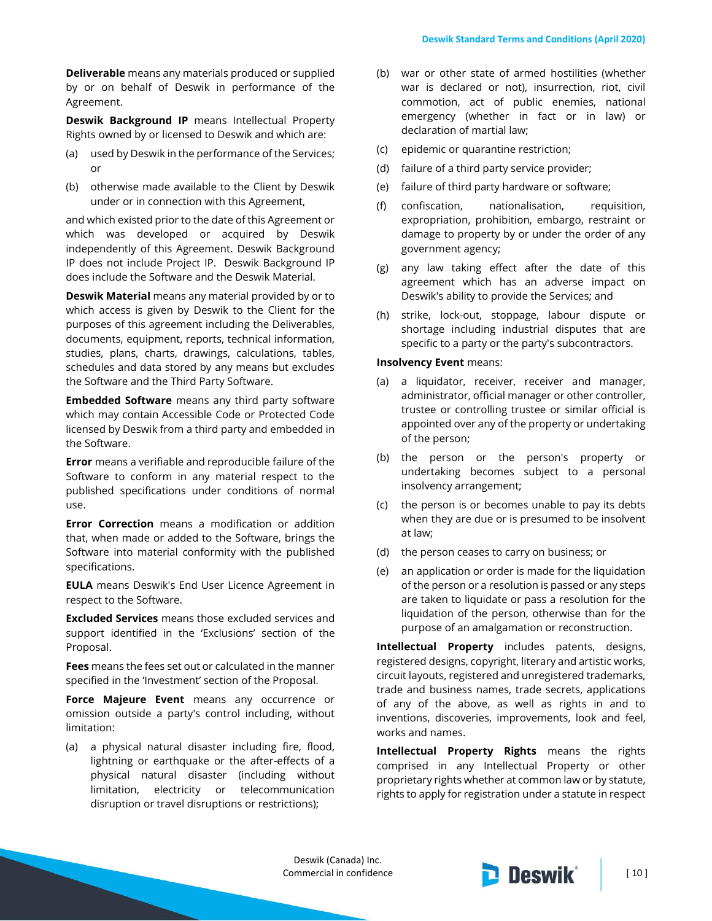**Deliverable** means any materials produced or supplied by or on behalf of Deswik in performance of the Agreement.

**Deswik Background IP** means Intellectual Property Rights owned by or licensed to Deswik and which are:

- (a) used by Deswik in the performance of the Services; or
- (b) otherwise made available to the Client by Deswik under or in connection with this Agreement,

and which existed prior to the date of this Agreement or which was developed or acquired by Deswik independently of this Agreement. Deswik Background IP does not include Project IP. Deswik Background IP does include the Software and the Deswik Material.

**Deswik Material** means any material provided by or to which access is given by Deswik to the Client for the purposes of this agreement including the Deliverables, documents, equipment, reports, technical information, studies, plans, charts, drawings, calculations, tables, schedules and data stored by any means but excludes the Software and the Third Party Software.

**Embedded Software** means any third party software which may contain Accessible Code or Protected Code licensed by Deswik from a third party and embedded in the Software.

**Error** means a verifiable and reproducible failure of the Software to conform in any material respect to the published specifications under conditions of normal use.

**Error Correction** means a modification or addition that, when made or added to the Software, brings the Software into material conformity with the published specifications.

**EULA** means Deswik's End User Licence Agreement in respect to the Software.

**Excluded Services** means those excluded services and support identified in the 'Exclusions' section of the Proposal.

**Fees** means the fees set out or calculated in the manner specified in the 'Investment' section of the Proposal.

**Force Majeure Event** means any occurrence or omission outside a party's control including, without limitation:

(a) a physical natural disaster including fire, flood, lightning or earthquake or the after-effects of a physical natural disaster (including without limitation, electricity or telecommunication disruption or travel disruptions or restrictions);

- (b) war or other state of armed hostilities (whether war is declared or not), insurrection, riot, civil commotion, act of public enemies, national emergency (whether in fact or in law) or declaration of martial law;
- (c) epidemic or quarantine restriction;
- (d) failure of a third party service provider;
- (e) failure of third party hardware or software;
- (f) confiscation, nationalisation, requisition, expropriation, prohibition, embargo, restraint or damage to property by or under the order of any government agency;
- (g) any law taking effect after the date of this agreement which has an adverse impact on Deswik's ability to provide the Services; and
- (h) strike, lock-out, stoppage, labour dispute or shortage including industrial disputes that are specific to a party or the party's subcontractors.

#### **Insolvency Event** means:

- (a) a liquidator, receiver, receiver and manager, administrator, official manager or other controller, trustee or controlling trustee or similar official is appointed over any of the property or undertaking of the person;
- (b) the person or the person's property or undertaking becomes subject to a personal insolvency arrangement;
- (c) the person is or becomes unable to pay its debts when they are due or is presumed to be insolvent at law;
- (d) the person ceases to carry on business; or
- (e) an application or order is made for the liquidation of the person or a resolution is passed or any steps are taken to liquidate or pass a resolution for the liquidation of the person, otherwise than for the purpose of an amalgamation or reconstruction.

**Intellectual Property** includes patents, designs, registered designs, copyright, literary and artistic works, circuit layouts, registered and unregistered trademarks, trade and business names, trade secrets, applications of any of the above, as well as rights in and to inventions, discoveries, improvements, look and feel, works and names.

**Intellectual Property Rights** means the rights comprised in any Intellectual Property or other proprietary rights whether at common law or by statute, rights to apply for registration under a statute in respect